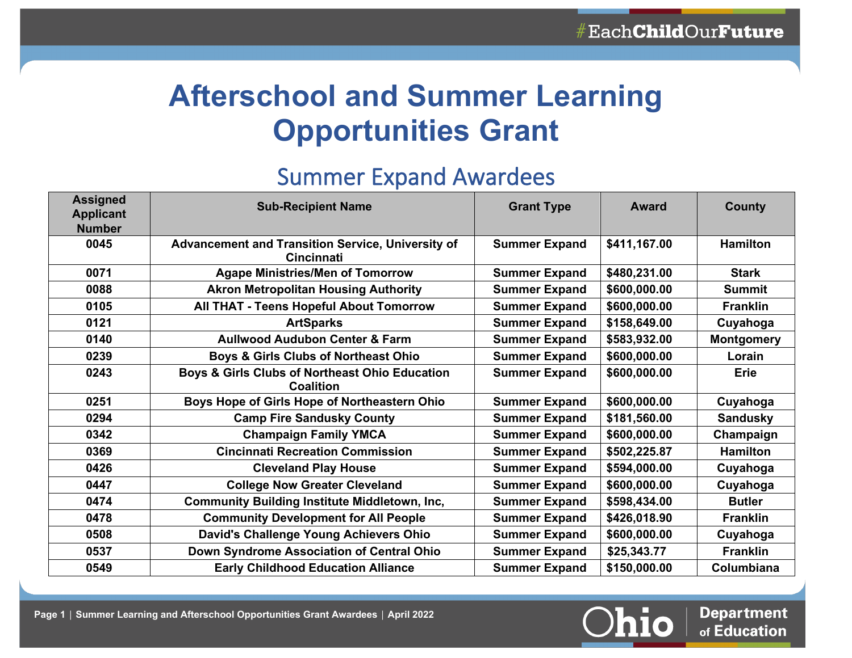# **Afterschool and Summer Learning Opportunities Grant**

# Summer Expand Awardees

| <b>Assigned</b><br><b>Applicant</b><br><b>Number</b> | <b>Sub-Recipient Name</b>                                                     | <b>Grant Type</b>    | <b>Award</b> | County            |
|------------------------------------------------------|-------------------------------------------------------------------------------|----------------------|--------------|-------------------|
| 0045                                                 | <b>Advancement and Transition Service, University of</b><br><b>Cincinnati</b> | <b>Summer Expand</b> | \$411,167.00 | <b>Hamilton</b>   |
| 0071                                                 | <b>Agape Ministries/Men of Tomorrow</b>                                       | <b>Summer Expand</b> | \$480,231.00 | <b>Stark</b>      |
| 0088                                                 | <b>Akron Metropolitan Housing Authority</b>                                   | <b>Summer Expand</b> | \$600,000.00 | <b>Summit</b>     |
| 0105                                                 | <b>All THAT - Teens Hopeful About Tomorrow</b>                                | <b>Summer Expand</b> | \$600,000.00 | <b>Franklin</b>   |
| 0121                                                 | <b>ArtSparks</b>                                                              | <b>Summer Expand</b> | \$158,649.00 | Cuyahoga          |
| 0140                                                 | <b>Aullwood Audubon Center &amp; Farm</b>                                     | <b>Summer Expand</b> | \$583,932.00 | <b>Montgomery</b> |
| 0239                                                 | <b>Boys &amp; Girls Clubs of Northeast Ohio</b>                               | <b>Summer Expand</b> | \$600,000.00 | Lorain            |
| 0243                                                 | Boys & Girls Clubs of Northeast Ohio Education<br><b>Coalition</b>            | <b>Summer Expand</b> | \$600,000.00 | <b>Erie</b>       |
| 0251                                                 | Boys Hope of Girls Hope of Northeastern Ohio                                  | <b>Summer Expand</b> | \$600,000.00 | Cuyahoga          |
| 0294                                                 | <b>Camp Fire Sandusky County</b>                                              | <b>Summer Expand</b> | \$181,560.00 | <b>Sandusky</b>   |
| 0342                                                 | <b>Champaign Family YMCA</b>                                                  | <b>Summer Expand</b> | \$600,000.00 | Champaign         |
| 0369                                                 | <b>Cincinnati Recreation Commission</b>                                       | <b>Summer Expand</b> | \$502,225.87 | <b>Hamilton</b>   |
| 0426                                                 | <b>Cleveland Play House</b>                                                   | <b>Summer Expand</b> | \$594,000.00 | Cuyahoga          |
| 0447                                                 | <b>College Now Greater Cleveland</b>                                          | <b>Summer Expand</b> | \$600,000.00 | Cuyahoga          |
| 0474                                                 | <b>Community Building Institute Middletown, Inc,</b>                          | <b>Summer Expand</b> | \$598,434.00 | <b>Butler</b>     |
| 0478                                                 | <b>Community Development for All People</b>                                   | <b>Summer Expand</b> | \$426,018.90 | <b>Franklin</b>   |
| 0508                                                 | David's Challenge Young Achievers Ohio                                        | <b>Summer Expand</b> | \$600,000.00 | Cuyahoga          |
| 0537                                                 | Down Syndrome Association of Central Ohio                                     | <b>Summer Expand</b> | \$25,343.77  | <b>Franklin</b>   |
| 0549                                                 | <b>Early Childhood Education Alliance</b>                                     | <b>Summer Expand</b> | \$150,000.00 | Columbiana        |



**Department** of Education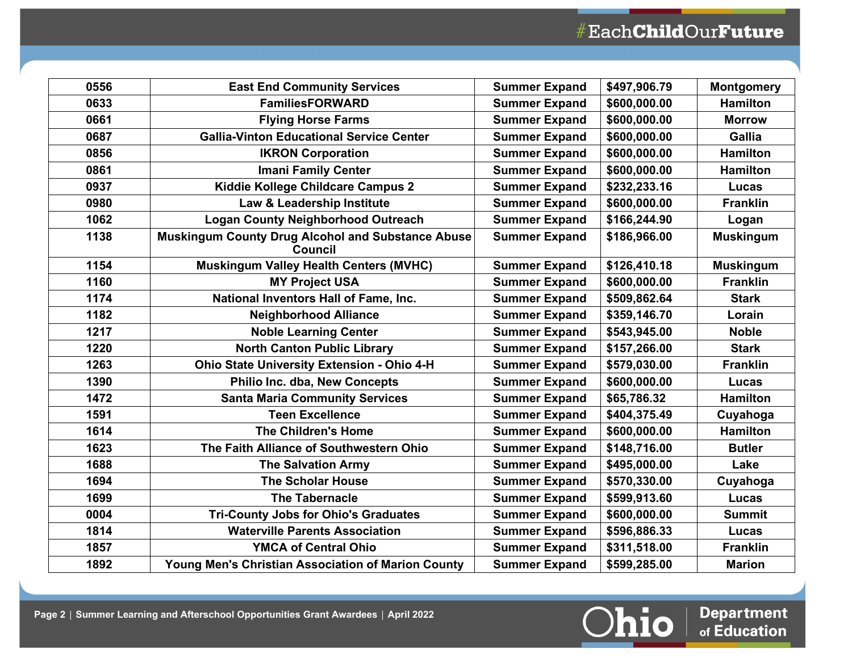| 0556 | <b>East End Community Services</b>                                  | <b>Summer Expand</b> | \$497,906.79 | <b>Montgomery</b> |
|------|---------------------------------------------------------------------|----------------------|--------------|-------------------|
| 0633 | <b>FamiliesFORWARD</b>                                              | <b>Summer Expand</b> | \$600,000.00 | <b>Hamilton</b>   |
| 0661 | <b>Flying Horse Farms</b>                                           | <b>Summer Expand</b> | \$600,000.00 | <b>Morrow</b>     |
| 0687 | <b>Gallia-Vinton Educational Service Center</b>                     | <b>Summer Expand</b> | \$600,000.00 | <b>Gallia</b>     |
| 0856 | <b>IKRON Corporation</b>                                            | <b>Summer Expand</b> | \$600,000.00 | <b>Hamilton</b>   |
| 0861 | <b>Imani Family Center</b>                                          | <b>Summer Expand</b> | \$600,000.00 | <b>Hamilton</b>   |
| 0937 | Kiddie Kollege Childcare Campus 2                                   | <b>Summer Expand</b> | \$232,233.16 | <b>Lucas</b>      |
| 0980 | Law & Leadership Institute                                          | <b>Summer Expand</b> | \$600,000.00 | <b>Franklin</b>   |
| 1062 | <b>Logan County Neighborhood Outreach</b>                           | <b>Summer Expand</b> | \$166,244.90 | Logan             |
| 1138 | Muskingum County Drug Alcohol and Substance Abuse<br><b>Council</b> | <b>Summer Expand</b> | \$186,966.00 | <b>Muskingum</b>  |
| 1154 | <b>Muskingum Valley Health Centers (MVHC)</b>                       | <b>Summer Expand</b> | \$126,410.18 | <b>Muskingum</b>  |
| 1160 | <b>MY Project USA</b>                                               | <b>Summer Expand</b> | \$600,000.00 | <b>Franklin</b>   |
| 1174 | National Inventors Hall of Fame, Inc.                               | <b>Summer Expand</b> | \$509,862.64 | <b>Stark</b>      |
| 1182 | <b>Neighborhood Alliance</b>                                        | <b>Summer Expand</b> | \$359,146.70 | Lorain            |
| 1217 | <b>Noble Learning Center</b>                                        | <b>Summer Expand</b> | \$543,945.00 | <b>Noble</b>      |
| 1220 | <b>North Canton Public Library</b>                                  | <b>Summer Expand</b> | \$157,266.00 | <b>Stark</b>      |
| 1263 | <b>Ohio State University Extension - Ohio 4-H</b>                   | <b>Summer Expand</b> | \$579,030.00 | <b>Franklin</b>   |
| 1390 | Philio Inc. dba, New Concepts                                       | <b>Summer Expand</b> | \$600,000.00 | <b>Lucas</b>      |
| 1472 | <b>Santa Maria Community Services</b>                               | <b>Summer Expand</b> | \$65,786.32  | <b>Hamilton</b>   |
| 1591 | <b>Teen Excellence</b>                                              | <b>Summer Expand</b> | \$404,375.49 | Cuyahoga          |
| 1614 | <b>The Children's Home</b>                                          | <b>Summer Expand</b> | \$600,000.00 | <b>Hamilton</b>   |
| 1623 | The Faith Alliance of Southwestern Ohio                             | <b>Summer Expand</b> | \$148,716.00 | <b>Butler</b>     |
| 1688 | <b>The Salvation Army</b>                                           | <b>Summer Expand</b> | \$495,000.00 | Lake              |
| 1694 | <b>The Scholar House</b>                                            | <b>Summer Expand</b> | \$570,330.00 | Cuyahoga          |
| 1699 | <b>The Tabernacle</b>                                               | <b>Summer Expand</b> | \$599,913.60 | <b>Lucas</b>      |
| 0004 | <b>Tri-County Jobs for Ohio's Graduates</b>                         | <b>Summer Expand</b> | \$600,000.00 | <b>Summit</b>     |
| 1814 | <b>Waterville Parents Association</b>                               | <b>Summer Expand</b> | \$596,886.33 | <b>Lucas</b>      |
| 1857 | <b>YMCA of Central Ohio</b>                                         | <b>Summer Expand</b> | \$311,518.00 | <b>Franklin</b>   |
| 1892 | <b>Young Men's Christian Association of Marion County</b>           | <b>Summer Expand</b> | \$599,285.00 | <b>Marion</b>     |

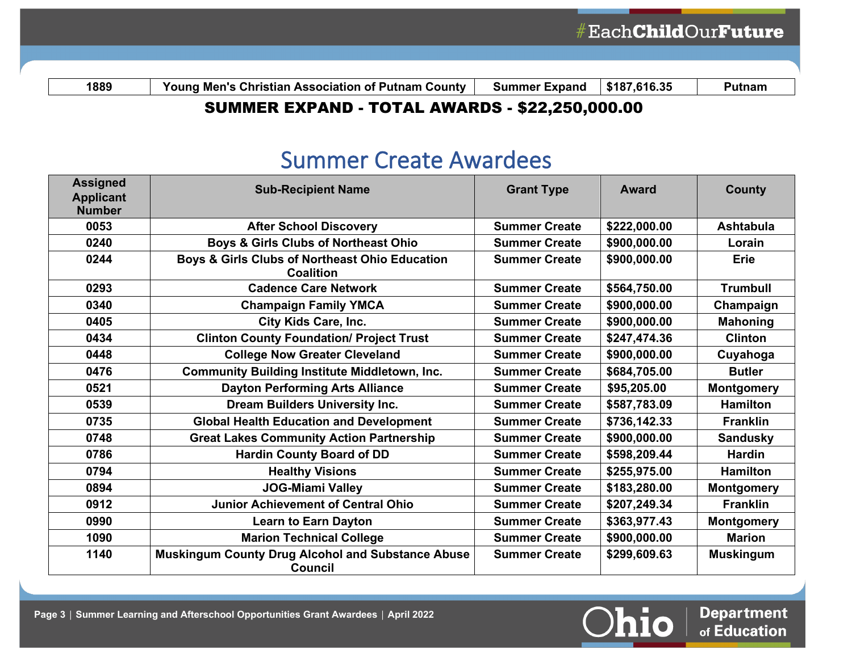**The View of Super Supersuper States of Summer Expand 3187,616.35 Putnam** 

### SUMMER EXPAND - TOTAL AWARDS - \$22,250,000.00

### Summer Create Awardees

| <b>Assigned</b><br><b>Applicant</b><br><b>Number</b> | <b>Sub-Recipient Name</b>                                                  | <b>Grant Type</b>    | <b>Award</b> | <b>County</b>     |
|------------------------------------------------------|----------------------------------------------------------------------------|----------------------|--------------|-------------------|
| 0053                                                 | <b>After School Discovery</b>                                              | <b>Summer Create</b> | \$222,000.00 | <b>Ashtabula</b>  |
| 0240                                                 | <b>Boys &amp; Girls Clubs of Northeast Ohio</b>                            | <b>Summer Create</b> | \$900,000.00 | Lorain            |
| 0244                                                 | Boys & Girls Clubs of Northeast Ohio Education<br><b>Coalition</b>         | <b>Summer Create</b> | \$900,000.00 | <b>Erie</b>       |
| 0293                                                 | <b>Cadence Care Network</b>                                                | <b>Summer Create</b> | \$564,750.00 | <b>Trumbull</b>   |
| 0340                                                 | <b>Champaign Family YMCA</b>                                               | <b>Summer Create</b> | \$900,000.00 | Champaign         |
| 0405                                                 | City Kids Care, Inc.                                                       | <b>Summer Create</b> | \$900,000.00 | <b>Mahoning</b>   |
| 0434                                                 | <b>Clinton County Foundation/ Project Trust</b>                            | <b>Summer Create</b> | \$247,474.36 | <b>Clinton</b>    |
| 0448                                                 | <b>College Now Greater Cleveland</b>                                       | <b>Summer Create</b> | \$900,000.00 | Cuyahoga          |
| 0476                                                 | <b>Community Building Institute Middletown, Inc.</b>                       | <b>Summer Create</b> | \$684,705.00 | <b>Butler</b>     |
| 0521                                                 | <b>Dayton Performing Arts Alliance</b>                                     | <b>Summer Create</b> | \$95,205.00  | <b>Montgomery</b> |
| 0539                                                 | <b>Dream Builders University Inc.</b>                                      | <b>Summer Create</b> | \$587,783.09 | <b>Hamilton</b>   |
| 0735                                                 | <b>Global Health Education and Development</b>                             | <b>Summer Create</b> | \$736,142.33 | <b>Franklin</b>   |
| 0748                                                 | <b>Great Lakes Community Action Partnership</b>                            | <b>Summer Create</b> | \$900,000.00 | <b>Sandusky</b>   |
| 0786                                                 | <b>Hardin County Board of DD</b>                                           | <b>Summer Create</b> | \$598,209.44 | <b>Hardin</b>     |
| 0794                                                 | <b>Healthy Visions</b>                                                     | <b>Summer Create</b> | \$255,975.00 | <b>Hamilton</b>   |
| 0894                                                 | <b>JOG-Miami Valley</b>                                                    | <b>Summer Create</b> | \$183,280.00 | <b>Montgomery</b> |
| 0912                                                 | <b>Junior Achievement of Central Ohio</b>                                  | <b>Summer Create</b> | \$207,249.34 | <b>Franklin</b>   |
| 0990                                                 | <b>Learn to Earn Dayton</b>                                                | <b>Summer Create</b> | \$363,977.43 | <b>Montgomery</b> |
| 1090                                                 | <b>Marion Technical College</b>                                            | <b>Summer Create</b> | \$900,000.00 | <b>Marion</b>     |
| 1140                                                 | <b>Muskingum County Drug Alcohol and Substance Abuse</b><br><b>Council</b> | <b>Summer Create</b> | \$299,609.63 | <b>Muskingum</b>  |

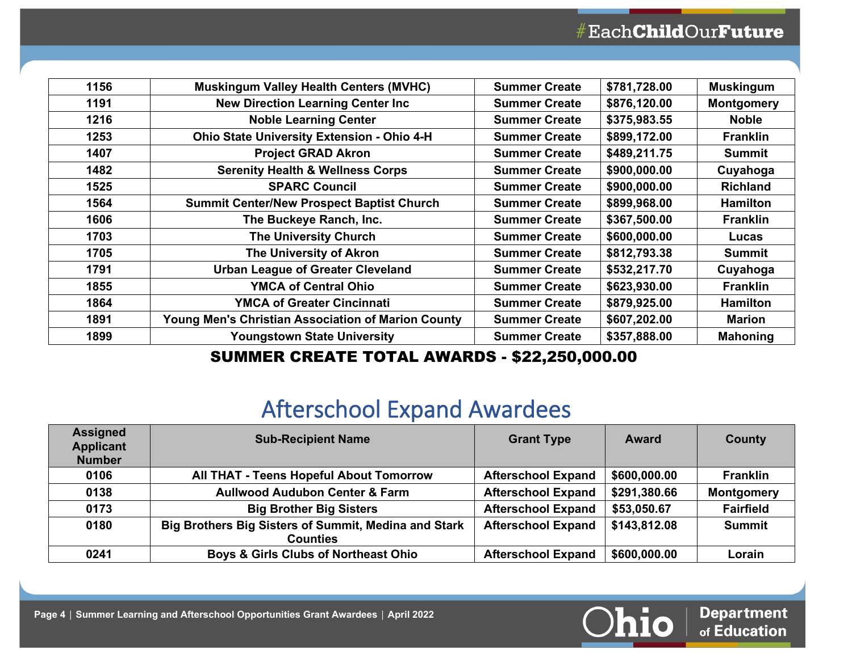| 1156 | <b>Muskingum Valley Health Centers (MVHC)</b>      | <b>Summer Create</b> | \$781,728.00 | <b>Muskingum</b>  |
|------|----------------------------------------------------|----------------------|--------------|-------------------|
| 1191 | <b>New Direction Learning Center Inc.</b>          | <b>Summer Create</b> | \$876,120.00 | <b>Montgomery</b> |
| 1216 | <b>Noble Learning Center</b>                       | <b>Summer Create</b> | \$375,983.55 | <b>Noble</b>      |
| 1253 | Ohio State University Extension - Ohio 4-H         | <b>Summer Create</b> | \$899,172.00 | <b>Franklin</b>   |
| 1407 | <b>Project GRAD Akron</b>                          | <b>Summer Create</b> | \$489,211.75 | Summit            |
| 1482 | <b>Serenity Health &amp; Wellness Corps</b>        | <b>Summer Create</b> | \$900,000.00 | Cuyahoga          |
| 1525 | <b>SPARC Council</b>                               | <b>Summer Create</b> | \$900,000.00 | <b>Richland</b>   |
| 1564 | <b>Summit Center/New Prospect Baptist Church</b>   | <b>Summer Create</b> | \$899,968.00 | <b>Hamilton</b>   |
| 1606 | The Buckeye Ranch, Inc.                            | <b>Summer Create</b> | \$367,500.00 | <b>Franklin</b>   |
| 1703 | <b>The University Church</b>                       | <b>Summer Create</b> | \$600,000.00 | Lucas             |
| 1705 | The University of Akron                            | <b>Summer Create</b> | \$812,793.38 | <b>Summit</b>     |
| 1791 | <b>Urban League of Greater Cleveland</b>           | <b>Summer Create</b> | \$532,217.70 | Cuyahoga          |
| 1855 | <b>YMCA of Central Ohio</b>                        | <b>Summer Create</b> | \$623,930.00 | <b>Franklin</b>   |
| 1864 | <b>YMCA of Greater Cincinnati</b>                  | <b>Summer Create</b> | \$879,925.00 | <b>Hamilton</b>   |
| 1891 | Young Men's Christian Association of Marion County | <b>Summer Create</b> | \$607,202.00 | <b>Marion</b>     |
| 1899 | <b>Youngstown State University</b>                 | <b>Summer Create</b> | \$357,888.00 | <b>Mahoning</b>   |
|      |                                                    |                      |              |                   |

#### SUMMER CREATE TOTAL AWARDS - \$22,250,000.00

# Afterschool Expand Awardees

| <b>Assigned</b><br><b>Applicant</b><br><b>Number</b> | <b>Sub-Recipient Name</b>                                               | <b>Grant Type</b>         | <b>Award</b> | County            |
|------------------------------------------------------|-------------------------------------------------------------------------|---------------------------|--------------|-------------------|
| 0106                                                 | All THAT - Teens Hopeful About Tomorrow                                 | <b>Afterschool Expand</b> | \$600,000.00 | <b>Franklin</b>   |
| 0138                                                 | <b>Aullwood Audubon Center &amp; Farm</b>                               | <b>Afterschool Expand</b> | \$291,380.66 | <b>Montgomery</b> |
| 0173                                                 | <b>Big Brother Big Sisters</b>                                          | <b>Afterschool Expand</b> | \$53,050.67  | <b>Fairfield</b>  |
| 0180                                                 | Big Brothers Big Sisters of Summit, Medina and Stark<br><b>Counties</b> | <b>Afterschool Expand</b> | \$143,812.08 | <b>Summit</b>     |
| 0241                                                 | <b>Boys &amp; Girls Clubs of Northeast Ohio</b>                         | <b>Afterschool Expand</b> | \$600,000.00 | Lorain            |

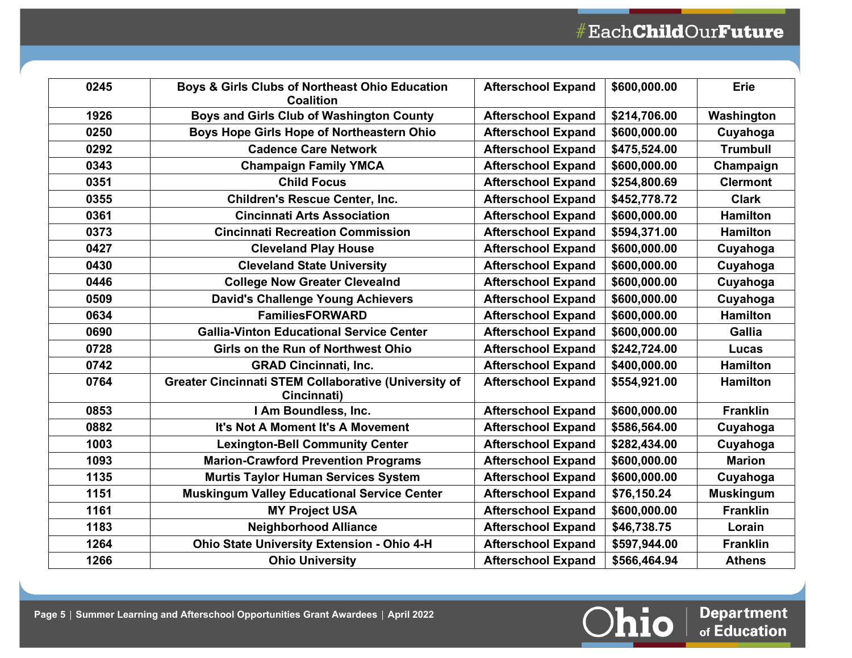| 0245 | Boys & Girls Clubs of Northeast Ohio Education<br><b>Coalition</b>         | <b>Afterschool Expand</b> | \$600,000.00 | <b>Erie</b>      |
|------|----------------------------------------------------------------------------|---------------------------|--------------|------------------|
| 1926 | Boys and Girls Club of Washington County                                   | <b>Afterschool Expand</b> | \$214,706.00 | Washington       |
| 0250 | Boys Hope Girls Hope of Northeastern Ohio                                  | <b>Afterschool Expand</b> | \$600,000.00 | Cuyahoga         |
| 0292 | <b>Cadence Care Network</b>                                                | <b>Afterschool Expand</b> | \$475,524.00 | <b>Trumbull</b>  |
| 0343 | <b>Champaign Family YMCA</b>                                               | <b>Afterschool Expand</b> | \$600,000.00 | Champaign        |
| 0351 | <b>Child Focus</b>                                                         | <b>Afterschool Expand</b> | \$254,800.69 | <b>Clermont</b>  |
| 0355 | <b>Children's Rescue Center, Inc.</b>                                      | <b>Afterschool Expand</b> | \$452,778.72 | <b>Clark</b>     |
| 0361 | <b>Cincinnati Arts Association</b>                                         | <b>Afterschool Expand</b> | \$600,000.00 | <b>Hamilton</b>  |
| 0373 | <b>Cincinnati Recreation Commission</b>                                    | <b>Afterschool Expand</b> | \$594,371.00 | <b>Hamilton</b>  |
| 0427 | <b>Cleveland Play House</b>                                                | <b>Afterschool Expand</b> | \$600,000.00 | Cuyahoga         |
| 0430 | <b>Cleveland State University</b>                                          | <b>Afterschool Expand</b> | \$600,000.00 | Cuyahoga         |
| 0446 | <b>College Now Greater Clevealnd</b>                                       | <b>Afterschool Expand</b> | \$600,000.00 | Cuyahoga         |
| 0509 | <b>David's Challenge Young Achievers</b>                                   | <b>Afterschool Expand</b> | \$600,000.00 | Cuyahoga         |
| 0634 | <b>FamiliesFORWARD</b>                                                     | <b>Afterschool Expand</b> | \$600,000.00 | <b>Hamilton</b>  |
| 0690 | <b>Gallia-Vinton Educational Service Center</b>                            | <b>Afterschool Expand</b> | \$600,000.00 | <b>Gallia</b>    |
| 0728 | <b>Girls on the Run of Northwest Ohio</b>                                  | <b>Afterschool Expand</b> | \$242,724.00 | Lucas            |
| 0742 | <b>GRAD Cincinnati, Inc.</b>                                               | <b>Afterschool Expand</b> | \$400,000.00 | <b>Hamilton</b>  |
| 0764 | <b>Greater Cincinnati STEM Collaborative (University of</b><br>Cincinnati) | <b>Afterschool Expand</b> | \$554,921.00 | <b>Hamilton</b>  |
| 0853 | I Am Boundless, Inc.                                                       | <b>Afterschool Expand</b> | \$600,000.00 | <b>Franklin</b>  |
| 0882 | It's Not A Moment It's A Movement                                          | <b>Afterschool Expand</b> | \$586,564.00 | Cuyahoga         |
| 1003 | <b>Lexington-Bell Community Center</b>                                     | <b>Afterschool Expand</b> | \$282,434.00 | Cuyahoga         |
| 1093 | <b>Marion-Crawford Prevention Programs</b>                                 | <b>Afterschool Expand</b> | \$600,000.00 | <b>Marion</b>    |
| 1135 | <b>Murtis Taylor Human Services System</b>                                 | <b>Afterschool Expand</b> | \$600,000.00 | Cuyahoga         |
| 1151 | <b>Muskingum Valley Educational Service Center</b>                         | <b>Afterschool Expand</b> | \$76,150.24  | <b>Muskingum</b> |
| 1161 | <b>MY Project USA</b>                                                      | <b>Afterschool Expand</b> | \$600,000.00 | <b>Franklin</b>  |
| 1183 | <b>Neighborhood Alliance</b>                                               | <b>Afterschool Expand</b> | \$46,738.75  | Lorain           |
| 1264 | Ohio State University Extension - Ohio 4-H                                 | <b>Afterschool Expand</b> | \$597,944.00 | <b>Franklin</b>  |
| 1266 | <b>Ohio University</b>                                                     | <b>Afterschool Expand</b> | \$566,464.94 | <b>Athens</b>    |

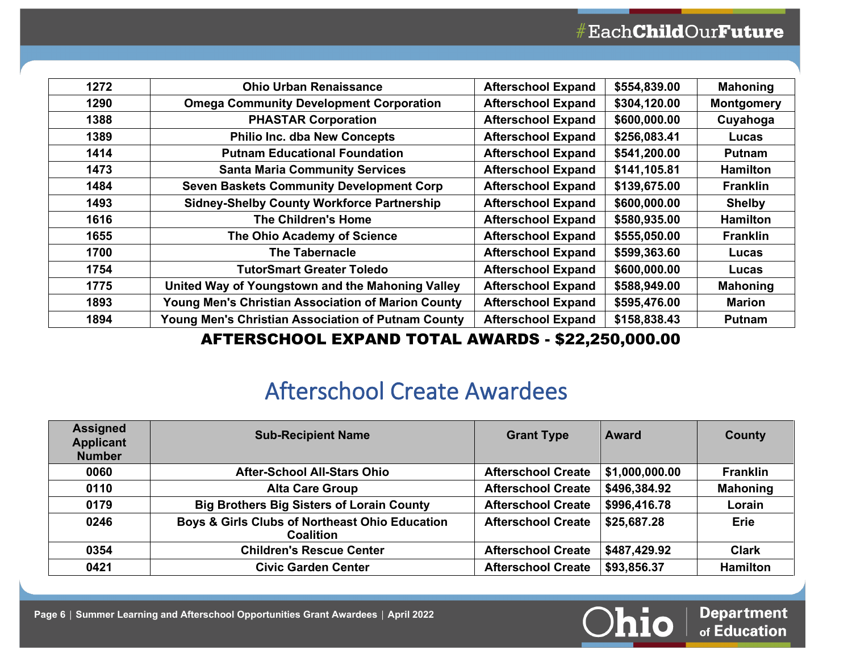| 1272 | <b>Ohio Urban Renaissance</b>                             | <b>Afterschool Expand</b> | \$554,839.00 | <b>Mahoning</b>   |
|------|-----------------------------------------------------------|---------------------------|--------------|-------------------|
| 1290 | <b>Omega Community Development Corporation</b>            | <b>Afterschool Expand</b> | \$304,120.00 | <b>Montgomery</b> |
| 1388 | <b>PHASTAR Corporation</b>                                | <b>Afterschool Expand</b> | \$600,000.00 | Cuyahoga          |
| 1389 | <b>Philio Inc. dba New Concepts</b>                       | <b>Afterschool Expand</b> | \$256,083.41 | Lucas             |
| 1414 | <b>Putnam Educational Foundation</b>                      | <b>Afterschool Expand</b> | \$541,200.00 | <b>Putnam</b>     |
| 1473 | <b>Santa Maria Community Services</b>                     | <b>Afterschool Expand</b> | \$141,105.81 | <b>Hamilton</b>   |
| 1484 | <b>Seven Baskets Community Development Corp</b>           | <b>Afterschool Expand</b> | \$139,675.00 | <b>Franklin</b>   |
| 1493 | <b>Sidney-Shelby County Workforce Partnership</b>         | <b>Afterschool Expand</b> | \$600,000.00 | <b>Shelby</b>     |
| 1616 | <b>The Children's Home</b>                                | <b>Afterschool Expand</b> | \$580,935.00 | <b>Hamilton</b>   |
| 1655 | The Ohio Academy of Science                               | <b>Afterschool Expand</b> | \$555,050.00 | <b>Franklin</b>   |
| 1700 | <b>The Tabernacle</b>                                     | <b>Afterschool Expand</b> | \$599,363.60 | Lucas             |
| 1754 | TutorSmart Greater Toledo                                 | <b>Afterschool Expand</b> | \$600,000.00 | Lucas             |
| 1775 | United Way of Youngstown and the Mahoning Valley          | <b>Afterschool Expand</b> | \$588,949.00 | <b>Mahoning</b>   |
| 1893 | <b>Young Men's Christian Association of Marion County</b> | <b>Afterschool Expand</b> | \$595,476.00 | <b>Marion</b>     |
| 1894 | Young Men's Christian Association of Putnam County        | <b>Afterschool Expand</b> | \$158,838.43 | <b>Putnam</b>     |

#### AFTERSCHOOL EXPAND TOTAL AWARDS - \$22,250,000.00

# Afterschool Create Awardees

| <b>Assigned</b><br><b>Applicant</b><br><b>Number</b> | <b>Sub-Recipient Name</b>                                          | <b>Grant Type</b>         | <b>Award</b>   | County          |
|------------------------------------------------------|--------------------------------------------------------------------|---------------------------|----------------|-----------------|
| 0060                                                 | <b>After-School All-Stars Ohio</b>                                 | <b>Afterschool Create</b> | \$1,000,000.00 | <b>Franklin</b> |
| 0110                                                 | <b>Alta Care Group</b>                                             | <b>Afterschool Create</b> | \$496,384.92   | <b>Mahoning</b> |
| 0179                                                 | <b>Big Brothers Big Sisters of Lorain County</b>                   | <b>Afterschool Create</b> | \$996,416.78   | Lorain          |
| 0246                                                 | Boys & Girls Clubs of Northeast Ohio Education<br><b>Coalition</b> | <b>Afterschool Create</b> | \$25,687.28    | <b>Erie</b>     |
| 0354                                                 | <b>Children's Rescue Center</b>                                    | <b>Afterschool Create</b> | \$487,429.92   | <b>Clark</b>    |
| 0421                                                 | <b>Civic Garden Center</b>                                         | <b>Afterschool Create</b> | \$93,856.37    | <b>Hamilton</b> |